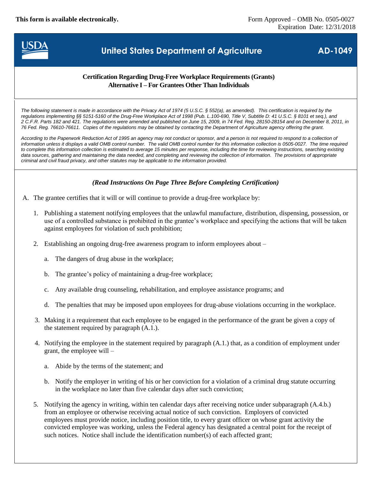**This form is available electronically.** Form Approved – OMB No. 0505-0027



# **United States Department of Agriculture AD-1049**

### **Certification Regarding Drug-Free Workplace Requirements (Grants) Alternative I – For Grantees Other Than Individuals**

*The following statement is made in accordance with the Privacy Act of 1974 (5 U.S.C. § 552(a), as amended). This certification is required by the regulations implementing §§ 5151-5160 of the Drug-Free Workplace Act of 1998 (Pub. L.100-690, Title V, Subtitle D: 41 U.S.C. § 8101 et seq.), and 2 C.F.R. Parts 182 and 421. The regulations were amended and published on June 15, 2009, in 74 Fed. Reg. 28150-28154 and on December 8, 2011, in 76 Fed. Reg. 76610-76611. Copies of the regulations may be obtained by contacting the Department of Agriculture agency offering the grant.*

According to the Paperwork Reduction Act of 1995 an agency may not conduct or sponsor, and a person is not required to respond to a collection of *information unless it displays a valid OMB control number. The valid OMB control number for this information collection is 0505-0027. The time required*  to complete this information collection is estimated to average 15 minutes per response, including the time for reviewing instructions, searching existing data sources, gathering and maintaining the data needed, and completing and reviewing the collection of information. The provisions of appropriate *criminal and civil fraud privacy, and other statutes may be applicable to the information provided.*

#### *(Read Instructions On Page Three Before Completing Certification)*

- A. The grantee certifies that it will or will continue to provide a drug-free workplace by:
	- 1. Publishing a statement notifying employees that the unlawful manufacture, distribution, dispensing, possession, or use of a controlled substance is prohibited in the grantee's workplace and specifying the actions that will be taken against employees for violation of such prohibition;
	- 2. Establishing an ongoing drug-free awareness program to inform employees about
		- a. The dangers of drug abuse in the workplace;
		- b. The grantee's policy of maintaining a drug-free workplace;
		- c. Any available drug counseling, rehabilitation, and employee assistance programs; and
		- d. The penalties that may be imposed upon employees for drug-abuse violations occurring in the workplace.
	- 3. Making it a requirement that each employee to be engaged in the performance of the grant be given a copy of the statement required by paragraph (A.1.).
	- 4. Notifying the employee in the statement required by paragraph (A.1.) that, as a condition of employment under grant, the employee will –
		- a. Abide by the terms of the statement; and
		- b. Notify the employer in writing of his or her conviction for a violation of a criminal drug statute occurring in the workplace no later than five calendar days after such conviction;
	- 5. Notifying the agency in writing, within ten calendar days after receiving notice under subparagraph (A.4.b.) from an employee or otherwise receiving actual notice of such conviction. Employers of convicted employees must provide notice, including position title, to every grant officer on whose grant activity the convicted employee was working, unless the Federal agency has designated a central point for the receipt of such notices. Notice shall include the identification number(s) of each affected grant;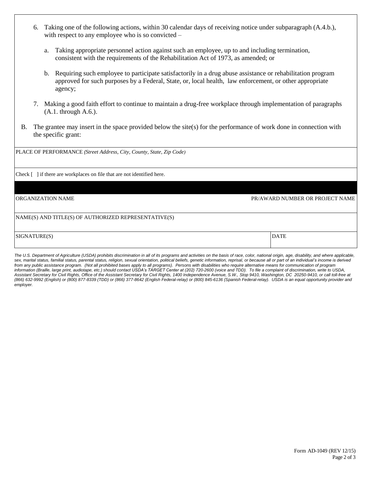- 6. Taking one of the following actions, within 30 calendar days of receiving notice under subparagraph (A.4.b.), with respect to any employee who is so convicted –
	- a. Taking appropriate personnel action against such an employee, up to and including termination, consistent with the requirements of the Rehabilitation Act of 1973, as amended; or
	- b. Requiring such employee to participate satisfactorily in a drug abuse assistance or rehabilitation program approved for such purposes by a Federal, State, or, local health, law enforcement, or other appropriate agency;
- 7. Making a good faith effort to continue to maintain a drug-free workplace through implementation of paragraphs (A.1. through A.6.).
- B. The grantee may insert in the space provided below the site(s) for the performance of work done in connection with the specific grant:

| PLACE OF PERFORMANCE (Street Address, City, County, State, Zip Code)    |                                 |
|-------------------------------------------------------------------------|---------------------------------|
| Check [ ] if there are workplaces on file that are not identified here. |                                 |
| ORGANIZATION NAME                                                       | PR/AWARD NUMBER OR PROJECT NAME |
| NAME(S) AND TITLE(S) OF AUTHORIZED REPRESENTATIVE(S)                    |                                 |
| SIGNATURE(S)                                                            | <b>DATE</b>                     |

The U.S. Department of Agriculture (USDA) prohibits discrimination in all of its programs and activities on the basis of race, color, national origin, age, disability, and where applicable, sex, marital status, familial status, parental status, religion, sexual orientation, political beliefs, genetic information, reprisal, or because all or part of an individual's income is derived *from any public assistance program. (Not all prohibited bases apply to all programs). Persons with disabilities who require alternative means for communication of program information (Braille, large print, audiotape, etc.) should contact USDA's TARGET Center at (202) 720-2600 (voice and TDD). To file a complaint of discrimination, write to USDA, Assistant Secretary for Civil Rights, Office of the Assistant Secretary for Civil Rights, 1400 Independence Avenue, S.W., Stop 9410, Washington, DC 20250-9410, or call toll-free at (866) 632-9992 (English) or (800) 877-8339 (TDD) or (866) 377-8642 (English Federal-relay) or (800) 845-6136 (Spanish Federal-relay). USDA is an equal opportunity provider and employer.*